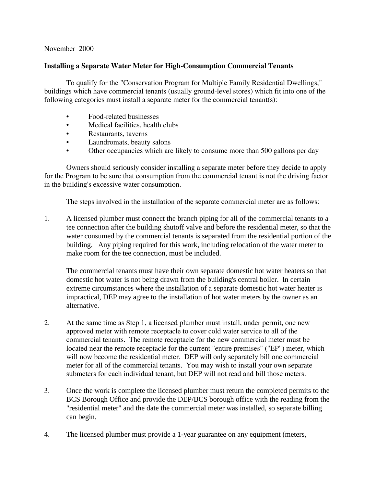## November 2000

## **Installing a Separate Water Meter for High-Consumption Commercial Tenants**

To qualify for the "Conservation Program for Multiple Family Residential Dwellings," buildings which have commercial tenants (usually ground-level stores) which fit into one of the following categories must install a separate meter for the commercial tenant(s):

- Food-related businesses
- Medical facilities, health clubs  $\bullet$
- $\bullet$ Restaurants, taverns
- Laundromats, beauty salons
- Other occupancies which are likely to consume more than 500 gallons per day

Owners should seriously consider installing a separate meter before they decide to apply for the Program to be sure that consumption from the commercial tenant is not the driving factor in the building's excessive water consumption.

The steps involved in the installation of the separate commercial meter are as follows:

1. A licensed plumber must connect the branch piping for all of the commercial tenants to a tee connection after the building shut off valve and before the residential meter, so that the water consumed by the commercial tenants is separated from the residential portion of the building. Any piping required for this work, including relocation of the water meter to make room for the tee connection, must be included.

The commercial tenants must have their own separate domestic hot water heaters so that domestic hot water is not being drawn from the building's central boiler. In certain extreme circumstances where the installation of a separate domestic hot water heater is impractical, DEP may agree to the installation of hot water meters by the owner as an alternative.

- $2.$ At the same time as Step 1, a licensed plumber must install, under permit, one new approved meter with remote receptacle to cover cold water service to all of the commercial tenants. The remote receptacle for the new commercial meter must be located near the remote receptacle for the current "entire premises" ("EP") meter, which will now become the residential meter. DEP will only separately bill one commercial meter for all of the commercial tenants. You may wish to install your own separate submeters for each individual tenant, but DEP will not read and bill those meters.
- $\overline{3}$ . Once the work is complete the licensed plumber must return the completed permits to the BCS Borough Office and provide the DEP/BCS borough office with the reading from the "residential meter" and the date the commercial meter was installed, so separate billing can begin.
- $\overline{4}$ . The licensed plumber must provide a 1-year guarantee on any equipment (meters,